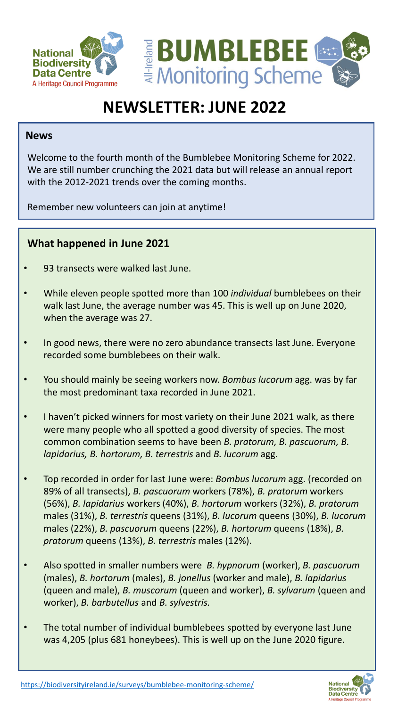



# **NEWSLETTER: JUNE 2022**

#### **News**

Welcome to the fourth month of the Bumblebee Monitoring Scheme for 2022. We are still number crunching the 2021 data but will release an annual report with the 2012-2021 trends over the coming months.

Remember new volunteers can join at anytime!

## **What happened in June 2021**

- 93 transects were walked last June.
- While eleven people spotted more than 100 *individual* bumblebees on their walk last June, the average number was 45. This is well up on June 2020, when the average was 27.
- In good news, there were no zero abundance transects last June. Everyone recorded some bumblebees on their walk.
- You should mainly be seeing workers now. *Bombus lucorum* agg. was by far the most predominant taxa recorded in June 2021.
- I haven't picked winners for most variety on their June 2021 walk, as there were many people who all spotted a good diversity of species. The most common combination seems to have been *B. pratorum, B. pascuorum, B. lapidarius, B. hortorum, B. terrestris* and *B. lucorum* agg.
- Top recorded in order for last June were: *Bombus lucorum* agg. (recorded on 89% of all transects), *B. pascuorum* workers (78%), *B. pratorum* workers (56%), *B. lapidarius* workers (40%), *B. hortorum* workers (32%), *B. pratorum* males (31%), *B. terrestris* queens (31%), *B. lucorum* queens (30%), *B. lucorum* males (22%), *B. pascuorum* queens (22%), *B. hortorum* queens (18%), *B. pratorum* queens (13%), *B. terrestris* males (12%).
- Also spotted in smaller numbers were *B. hypnorum* (worker), *B. pascuorum* (males), *B. hortorum* (males), *B. jonellus* (worker and male), *B. lapidarius* (queen and male), *B. muscorum* (queen and worker), *B. sylvarum* (queen and worker), *B. barbutellus* and *B. sylvestris.*
- The total number of individual bumblebees spotted by everyone last June was 4,205 (plus 681 honeybees). This is well up on the June 2020 figure.



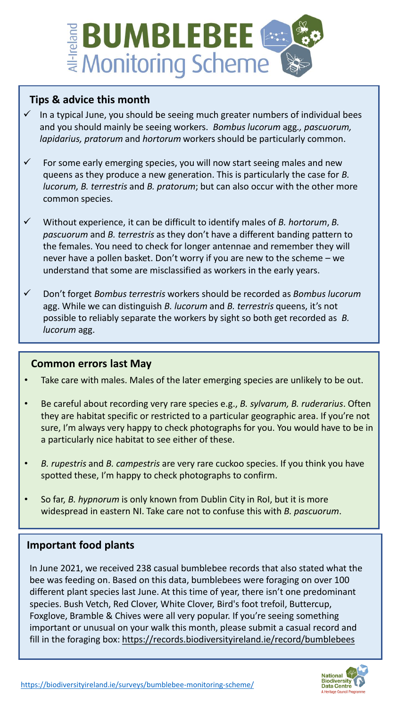

## **Tips & advice this month**

- In a typical June, you should be seeing much greater numbers of individual bees and you should mainly be seeing workers. *Bombus lucorum* agg*., pascuorum, lapidarius, pratorum* and *hortorum* workers should be particularly common.
- $\checkmark$  For some early emerging species, you will now start seeing males and new queens as they produce a new generation. This is particularly the case for *B. lucorum, B. terrestris* and *B. pratorum*; but can also occur with the other more common species.
- ✓ Without experience, it can be difficult to identify males of *B. hortorum*, *B. pascuorum* and *B. terrestris* as they don't have a different banding pattern to the females. You need to check for longer antennae and remember they will never have a pollen basket. Don't worry if you are new to the scheme – we understand that some are misclassified as workers in the early years.
- ✓ Don't forget *Bombus terrestris* workers should be recorded as *Bombus lucorum* agg. While we can distinguish *B. lucorum* and *B. terrestris* queens, it's not possible to reliably separate the workers by sight so both get recorded as *B. lucorum* agg.

## **Common errors last May**

- Take care with males. Males of the later emerging species are unlikely to be out.
- Be careful about recording very rare species e.g., *B. sylvarum, B. ruderarius*. Often they are habitat specific or restricted to a particular geographic area. If you're not sure, I'm always very happy to check photographs for you. You would have to be in a particularly nice habitat to see either of these.
- *B. rupestris* and *B. campestris* are very rare cuckoo species. If you think you have spotted these, I'm happy to check photographs to confirm.
- So far, *B. hypnorum* is only known from Dublin City in RoI, but it is more widespread in eastern NI. Take care not to confuse this with *B. pascuorum*.

## **Important food plants**

In June 2021, we received 238 casual bumblebee records that also stated what the bee was feeding on. Based on this data, bumblebees were foraging on over 100 different plant species last June. At this time of year, there isn't one predominant species. Bush Vetch, Red Clover, White Clover, Bird's foot trefoil, Buttercup, Foxglove, Bramble & Chives were all very popular. If you're seeing something important or unusual on your walk this month, please submit a casual record and fill in the foraging box: <https://records.biodiversityireland.ie/record/bumblebees>

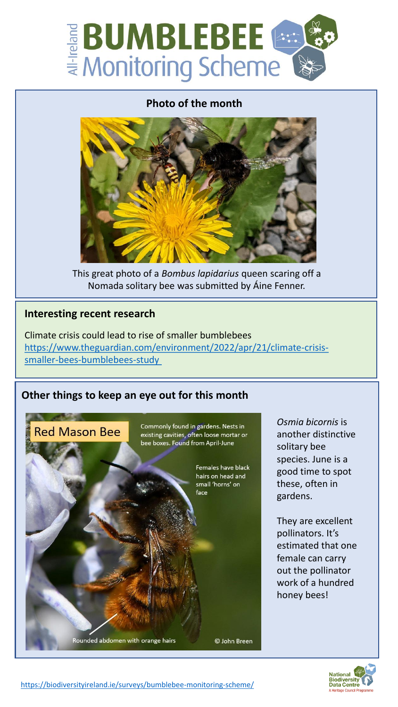

#### **Photo of the month**



This great photo of a *Bombus lapidarius* queen scaring off a Nomada solitary bee was submitted by Áine Fenner.

#### **Interesting recent research**

Climate crisis could lead to rise of smaller bumblebees [https://www.theguardian.com/environment/2022/apr/21/climate-crisis](https://www.theguardian.com/environment/2022/apr/21/climate-crisis-smaller-bees-bumblebees-study)smaller-bees-bumblebees-study



*Osmia bicornis* is another distinctive solitary bee species. June is a good time to spot these, often in gardens.

They are excellent pollinators. It's estimated that one female can carry out the pollinator work of a hundred honey bees!